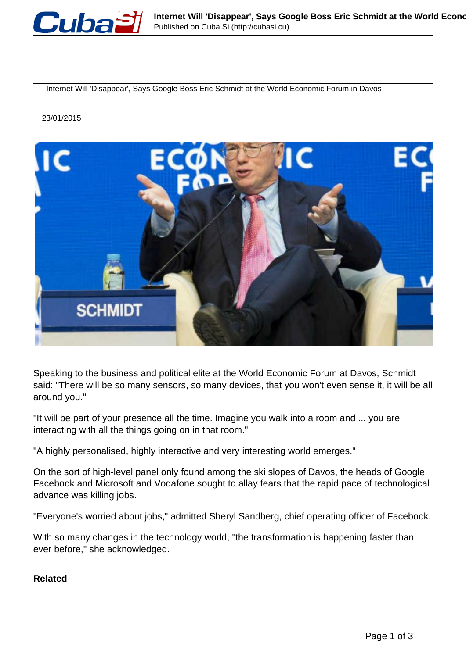

Internet Will 'Disappear', Says Google Boss Eric Schmidt at the World Economic Forum in Davos

## 23/01/2015



Speaking to the business and political elite at the World Economic Forum at Davos, Schmidt said: "There will be so many sensors, so many devices, that you won't even sense it, it will be all around you."

"It will be part of your presence all the time. Imagine you walk into a room and ... you are interacting with all the things going on in that room."

"A highly personalised, highly interactive and very interesting world emerges."

On the sort of high-level panel only found among the ski slopes of Davos, the heads of Google, Facebook and Microsoft and Vodafone sought to allay fears that the rapid pace of technological advance was killing jobs.

"Everyone's worried about jobs," admitted Sheryl Sandberg, chief operating officer of Facebook.

With so many changes in the technology world, "the transformation is happening faster than ever before," she acknowledged.

## **Related**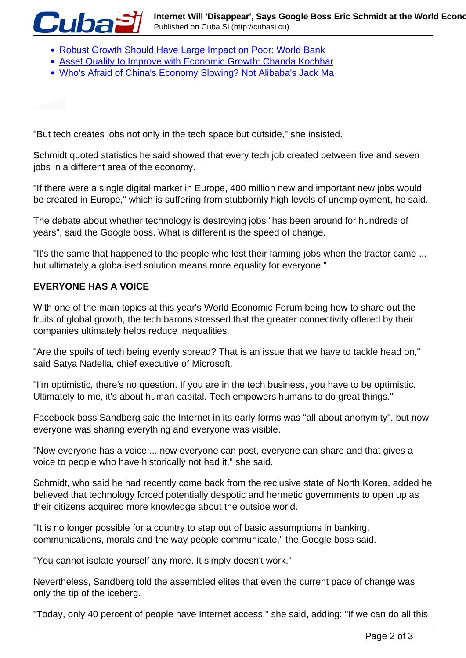- [Robust Growth Should Have Large Impact on Poor: World Bank](http://profit.ndtv.com/news/news/article-robust-growth-should-have-large-impact-on-poor-world-bank-731486?ndtv_related)
- Asset Quality to Improve with Economic Growth: Chanda Kochhar
- Who's Afraid of China's Economy Slowing? Not Alibaba's Jack Ma

"But tech creates jobs not only in the tech space but outside," she insisted.

Schmidt quoted statistics he said showed that every tech job created between five and seven jobs in a different area of the economy.

"If there were a single digital market in Europe, 400 million new and important new jobs would be created in Europe," which is suffering from stubbornly high levels of unemployment, he said.

The debate about whether technology is destroying jobs "has been around for hundreds of years", said the Google boss. What is different is the speed of change.

"It's the same that happened to the people who lost their farming jobs when the tractor came ... but ultimately a globalised solution means more equality for everyone."

## **EVERYONE HAS A VOICE**

**Cuba** 

With one of the main topics at this year's World Economic Forum being how to share out the fruits of global growth, the tech barons stressed that the greater connectivity offered by their companies ultimately helps reduce inequalities.

"Are the spoils of tech being evenly spread? That is an issue that we have to tackle head on," said Satya Nadella, chief executive of Microsoft.

"I'm optimistic, there's no question. If you are in the tech business, you have to be optimistic. Ultimately to me, it's about human capital. Tech empowers humans to do great things."

Facebook boss Sandberg said the Internet in its early forms was "all about anonymity", but now everyone was sharing everything and everyone was visible.

"Now everyone has a voice ... now everyone can post, everyone can share and that gives a voice to people who have historically not had it," she said.

Schmidt, who said he had recently come back from the reclusive state of North Korea, added he believed that technology forced potentially despotic and hermetic governments to open up as their citizens acquired more knowledge about the outside world.

"It is no longer possible for a country to step out of basic assumptions in banking, communications, morals and the way people communicate," the Google boss said.

"You cannot isolate yourself any more. It simply doesn't work."

Nevertheless, Sandberg told the assembled elites that even the current pace of change was only the tip of the iceberg.

"Today, only 40 percent of people have Internet access," she said, adding: "If we can do all this